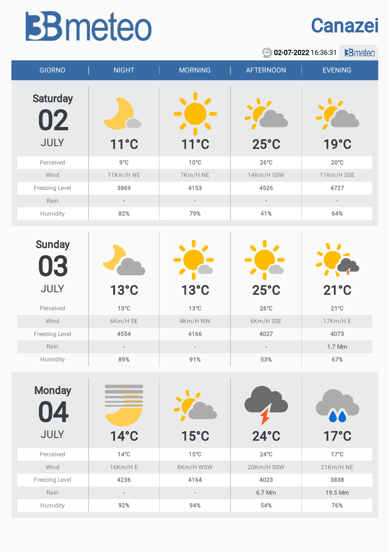## **BB** meteo



02-07-2022 16:36:31 **B**meteo

| <b>GIORNO</b>                        | <b>NIGHT</b> | <b>MORNING</b> | <b>AFTERNOON</b> | <b>EVENING</b> |
|--------------------------------------|--------------|----------------|------------------|----------------|
| <b>Saturday</b><br>02<br><b>JULY</b> | 11°C         | $11^{\circ}$ C | $25^{\circ}$ C   | 19°C           |
| Perceived                            | 9°C          | $10^{\circ}$ C | $26^{\circ}$ C   | $20^{\circ}$ C |
| Wind                                 | 11Km/H NE    | 7Km/H NE       | 14Km/H SSW       | 11Km/H SSE     |
| Freezing Level                       | 3869         | 4153           | 4526             | 4727           |
| Rain                                 |              |                |                  |                |
| Humidity                             | 82%          | 79%            | 41%              | 64%            |
| <b>Sunday</b><br>03                  |              |                |                  |                |

|                |                |                |                | $\mathcal{L}$  |  |
|----------------|----------------|----------------|----------------|----------------|--|
| <b>JULY</b>    | $13^{\circ}$ C | $13^{\circ}$ C | $25^{\circ}$ C | $21^{\circ}$ C |  |
| Perceived      | $13^{\circ}$ C | $13^{\circ}$ C | $26^{\circ}$ C | $21^{\circ}$ C |  |
| Wind           | 6Km/H SE       | 4Km/H NW       | 6Km/H SSE      | $17$ Km/H $E$  |  |
| Freezing Level | 4554           | 4166           | 4027           | 4073           |  |
| Rain           | $\sim$         | $\sim$         | m.             | 1.7 Mm         |  |
| Humidity       | 89%            | 91%            | 53%            | 67%            |  |

| <b>Monday</b><br>4<br><b>JULY</b> | $14^{\circ}$ C | $15^{\circ}$ C | $24^\circ C$   | $17^{\circ}$ C |
|-----------------------------------|----------------|----------------|----------------|----------------|
| Perceived                         | $14^{\circ}$ C | $15^{\circ}$ C | $24^{\circ}$ C | $17^{\circ}$ C |
| Wind                              | 16Km/H E       | 8Km/H WSW      | 20Km/H SSW     | 21Km/H NE      |
| Freezing Level                    | 4236           | 4164           | 4023           | 3838           |
| Rain                              | $\sim$         | $\sim$         | 6.7 Mm         | 19.5 Mm        |
| Humidity                          | 92%            | 94%            | 54%            | 76%            |